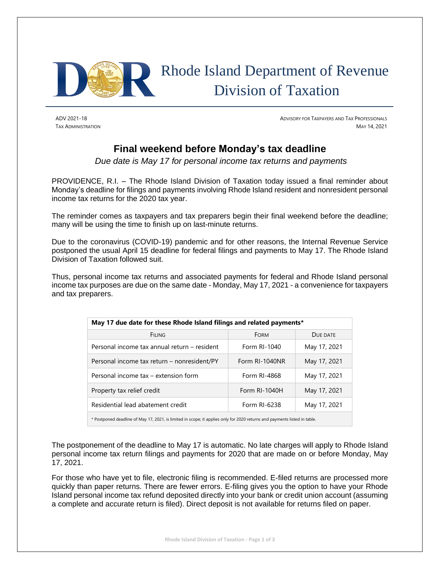

ADV 2021-18 ADVISORY FOR TAXPAYERS AND TAX PROFESSIONALS TAX ADMINISTRATION MAY 14, 2021

## **Final weekend before Monday's tax deadline**

*Due date is May 17 for personal income tax returns and payments*

PROVIDENCE, R.I. – The Rhode Island Division of Taxation today issued a final reminder about Monday's deadline for filings and payments involving Rhode Island resident and nonresident personal income tax returns for the 2020 tax year.

The reminder comes as taxpayers and tax preparers begin their final weekend before the deadline; many will be using the time to finish up on last-minute returns.

Due to the coronavirus (COVID-19) pandemic and for other reasons, the Internal Revenue Service postponed the usual April 15 deadline for federal filings and payments to May 17. The Rhode Island Division of Taxation followed suit.

Thus, personal income tax returns and associated payments for federal and Rhode Island personal income tax purposes are due on the same date - Monday, May 17, 2021 - a convenience for taxpayers and tax preparers.

| May 17 due date for these Rhode Island filings and related payments*                                                      |                |              |
|---------------------------------------------------------------------------------------------------------------------------|----------------|--------------|
| <b>FILING</b>                                                                                                             | <b>FORM</b>    | DUE DATE     |
| Personal income tax annual return – resident                                                                              | Form RI-1040   | May 17, 2021 |
| Personal income tax return – nonresident/PY                                                                               | Form RI-1040NR | May 17, 2021 |
| Personal income tax – extension form                                                                                      | Form RI-4868   | May 17, 2021 |
| Property tax relief credit                                                                                                | Form RI-1040H  | May 17, 2021 |
| Residential lead abatement credit                                                                                         | Form RI-6238   | May 17, 2021 |
| * Postponed deadline of May 17, 2021, is limited in scope; it applies only for 2020 returns and payments listed in table. |                |              |

The postponement of the deadline to May 17 is automatic. No late charges will apply to Rhode Island personal income tax return filings and payments for 2020 that are made on or before Monday, May 17, 2021.

For those who have yet to file, electronic filing is recommended. E-filed returns are processed more quickly than paper returns. There are fewer errors. E-filing gives you the option to have your Rhode Island personal income tax refund deposited directly into your bank or credit union account (assuming a complete and accurate return is filed). Direct deposit is not available for returns filed on paper.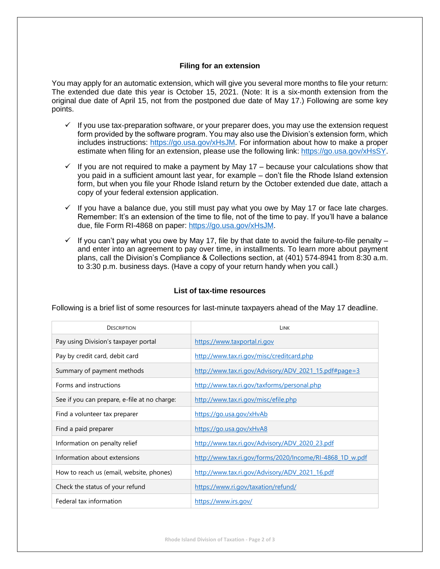## **Filing for an extension**

You may apply for an automatic extension, which will give you several more months to file your return: The extended due date this year is October 15, 2021. (Note: It is a six-month extension from the original due date of April 15, not from the postponed due date of May 17.) Following are some key points.

- $\checkmark$  If you use tax-preparation software, or your preparer does, you may use the extension request form provided by the software program. You may also use the Division's extension form, which includes instructions: [https://go.usa.gov/xHsJM.](https://go.usa.gov/xHsJM) For information about how to make a proper estimate when filing for an extension, please use the following link: [https://go.usa.gov/xHsSY.](https://go.usa.gov/xHsSY)
- $\checkmark$  If you are not required to make a payment by May 17 because your calculations show that you paid in a sufficient amount last year, for example – don't file the Rhode Island extension form, but when you file your Rhode Island return by the October extended due date, attach a copy of your federal extension application.
- $\checkmark$  If you have a balance due, you still must pay what you owe by May 17 or face late charges. Remember: It's an extension of the time to file, not of the time to pay. If you'll have a balance due, file Form RI-4868 on paper[: https://go.usa.gov/xHsJM.](https://go.usa.gov/xHsJM)
- $\checkmark$  If you can't pay what you owe by May 17, file by that date to avoid the failure-to-file penalty and enter into an agreement to pay over time, in installments. To learn more about payment plans, call the Division's Compliance & Collections section, at (401) 574-8941 from 8:30 a.m. to 3:30 p.m. business days. (Have a copy of your return handy when you call.)

| <b>DESCRIPTION</b>                           | LINK                                                     |
|----------------------------------------------|----------------------------------------------------------|
| Pay using Division's taxpayer portal         | https://www.taxportal.ri.gov                             |
| Pay by credit card, debit card               | http://www.tax.ri.gov/misc/creditcard.php                |
| Summary of payment methods                   | http://www.tax.ri.gov/Advisory/ADV 2021 15.pdf#page=3    |
| Forms and instructions                       | http://www.tax.ri.gov/taxforms/personal.php              |
| See if you can prepare, e-file at no charge: | http://www.tax.ri.gov/misc/efile.php                     |
| Find a volunteer tax preparer                | https://go.usa.gov/xHvAb                                 |
| Find a paid preparer                         | https://go.usa.gov/xHvA8                                 |
| Information on penalty relief                | http://www.tax.ri.gov/Advisory/ADV 2020 23.pdf           |
| Information about extensions                 | http://www.tax.ri.gov/forms/2020/Income/RI-4868 1D w.pdf |
| How to reach us (email, website, phones)     | http://www.tax.ri.gov/Advisory/ADV_2021_16.pdf           |
| Check the status of your refund              | https://www.ri.gov/taxation/refund/                      |
| Federal tax information                      | https://www.irs.gov/                                     |

## **List of tax-time resources**

Following is a brief list of some resources for last-minute taxpayers ahead of the May 17 deadline.